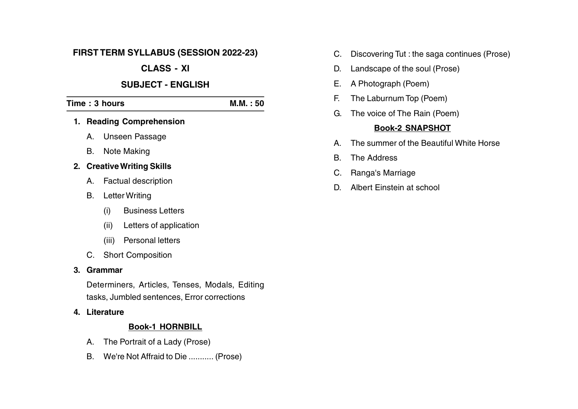## **FIRST TERM SYLLABUS (SESSION 2022-23)**

# **CLASS - XI**

## **SUBJECT - ENGLISH**

# **Time : 3 hours M.M. : 50**

- **1. Reading Comprehension**
	- A. Unseen Passage
	- B. Note Making

## **2. CreativeWriting Skills**

- A. Factual description
- B. Letter Writing
	- (i) Business Letters
	- (ii) Letters of application
	- (iii) Personal letters
- C. Short Composition

## **3. Grammar**

Determiners, Articles, Tenses, Modals, Editing tasks, Jumbled sentences, Error corrections

**4. Literature**

## **Book-1 HORNBILL**

- A. The Portrait of a Lady (Prose)
- B. We're Not Affraid to Die ........... (Prose)
- C. Discovering Tut : the saga continues (Prose)
- D. Landscape of the soul (Prose)
- E. A Photograph (Poem)
- F. The Laburnum Top (Poem)
- G. The voice of The Rain (Poem)

## **Book-2 SNAPSHOT**

- A. The summer of the Beautiful White Horse
- B. The Address
- C. Ranga's Marriage
- D. Albert Einstein at school